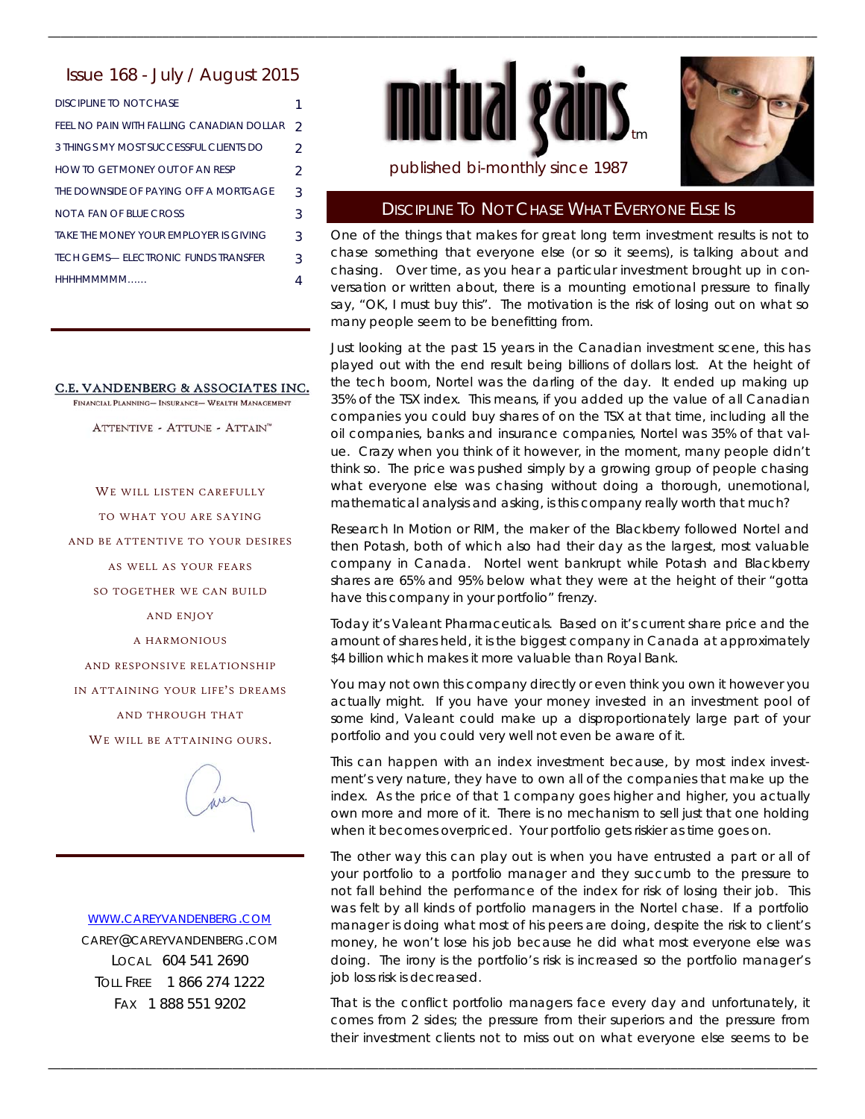### Issue 168 - July / August 2015

| DISCIPLINE TO NOT CHASE                   |                |
|-------------------------------------------|----------------|
| FEEL NO PAIN WITH FALLING CANADIAN DOLLAR | $\mathcal{P}$  |
| 3 THINGS MY MOST SUCCESSEUL CLIENTS DO    | $\mathfrak{D}$ |
| HOW TO GET MONEY OUT OF AN RESP           | $\mathcal{D}$  |
| THE DOWNSIDE OF PAYING OFF A MORTGAGE     | 3              |
| NOT A FAN OF BLUE CROSS                   | 3              |
| TAKE THE MONEY YOUR EMPLOYER IS GIVING    | 3              |
| TECH GEMS- ELECTRONIC FUNDS TRANSEER      | 3              |
| ннннммммм                                 |                |
|                                           |                |

#### C.E. VANDENBERG & ASSOCIATES INC.

FINANCIAL PLANNING- INSURANCE- WEALTH MANAGEMENT

ATTENTIVE - ATTUNE - ATTAIN"

WE WILL LISTEN CAREFULLY TO WHAT YOU ARE SAYING AND BE ATTENTIVE TO YOUR DESIRES AS WELL AS YOUR FEARS SO TOGETHER WE CAN BUILD AND ENJOY A HARMONIOUS AND RESPONSIVE RELATIONSHIP IN ATTAINING YOUR LIFE'S DREAMS AND THROUGH THAT WE WILL BE ATTAINING OURS.



#### WWW.CAREYVANDENBERG.COM

CAREY@CAREYVANDENBERG.COM LOCAL 604 541 2690 TOLL FREE 1 866 274 1222 FAX 1 888 551 9202



\_\_\_\_\_\_\_\_\_\_\_\_\_\_\_\_\_\_\_\_\_\_\_\_\_\_\_\_\_\_\_\_\_\_\_\_\_\_\_\_\_\_\_\_\_\_\_\_\_\_\_\_\_\_\_\_\_\_\_\_\_\_\_\_\_\_\_\_\_\_\_\_\_\_\_\_\_\_\_\_\_\_\_\_\_\_\_\_\_\_\_\_\_\_\_\_\_\_\_\_\_\_\_\_\_\_\_\_\_\_\_\_\_\_\_\_\_\_\_\_\_



## published bi-monthly since 1987

#### DISCIPLINE TO NOT CHASE WHAT EVERYONE ELSE IS

One of the things that makes for great long term investment results is not to chase something that everyone else (or so it seems), is talking about and chasing. Over time, as you hear a particular investment brought up in conversation or written about, there is a mounting emotional pressure to finally say, "OK, I must buy this". The motivation is the risk of losing out on what so many people seem to be benefitting from.

Just looking at the past 15 years in the Canadian investment scene, this has played out with the end result being billions of dollars lost. At the height of the tech boom, Nortel was the darling of the day. It ended up making up 35% of the TSX index. This means, if you added up the value of all Canadian companies you could buy shares of on the TSX at that time, including all the oil companies, banks and insurance companies, Nortel was 35% of that value. Crazy when you think of it however, in the moment, many people didn't think so. The price was pushed simply by a growing group of people chasing what everyone else was chasing without doing a thorough, unemotional, mathematical analysis and asking, is this company really worth that much?

Research In Motion or RIM, the maker of the Blackberry followed Nortel and then Potash, both of which also had their day as the largest, most valuable company in Canada. Nortel went bankrupt while Potash and Blackberry shares are 65% and 95% below what they were at the height of their "gotta have this company in your portfolio" frenzy.

Today it's Valeant Pharmaceuticals. Based on it's current share price and the amount of shares held, it is the biggest company in Canada at approximately \$4 billion which makes it more valuable than Royal Bank.

You may not own this company directly or even think you own it however you actually might. If you have your money invested in an investment pool of some kind, Valeant could make up a disproportionately large part of your portfolio and you could very well not even be aware of it.

This can happen with an index investment because, by most index investment's very nature, they have to own all of the companies that make up the index. As the price of that 1 company goes higher and higher, you actually own more and more of it. There is no mechanism to sell just that one holding when it becomes overpriced. Your portfolio gets riskier as time goes on.

The other way this can play out is when you have entrusted a part or all of your portfolio to a portfolio manager and they succumb to the pressure to not fall behind the performance of the index for risk of losing their job. This was felt by all kinds of portfolio managers in the Nortel chase. If a portfolio manager is doing what most of his peers are doing, despite the risk to client's money, he won't lose his job because he did what most everyone else was doing. The irony is the portfolio's risk is increased so the portfolio manager's job loss risk is decreased.

That is the conflict portfolio managers face every day and unfortunately, it comes from 2 sides; the pressure from their superiors and the pressure from their investment clients not to miss out on what everyone else seems to be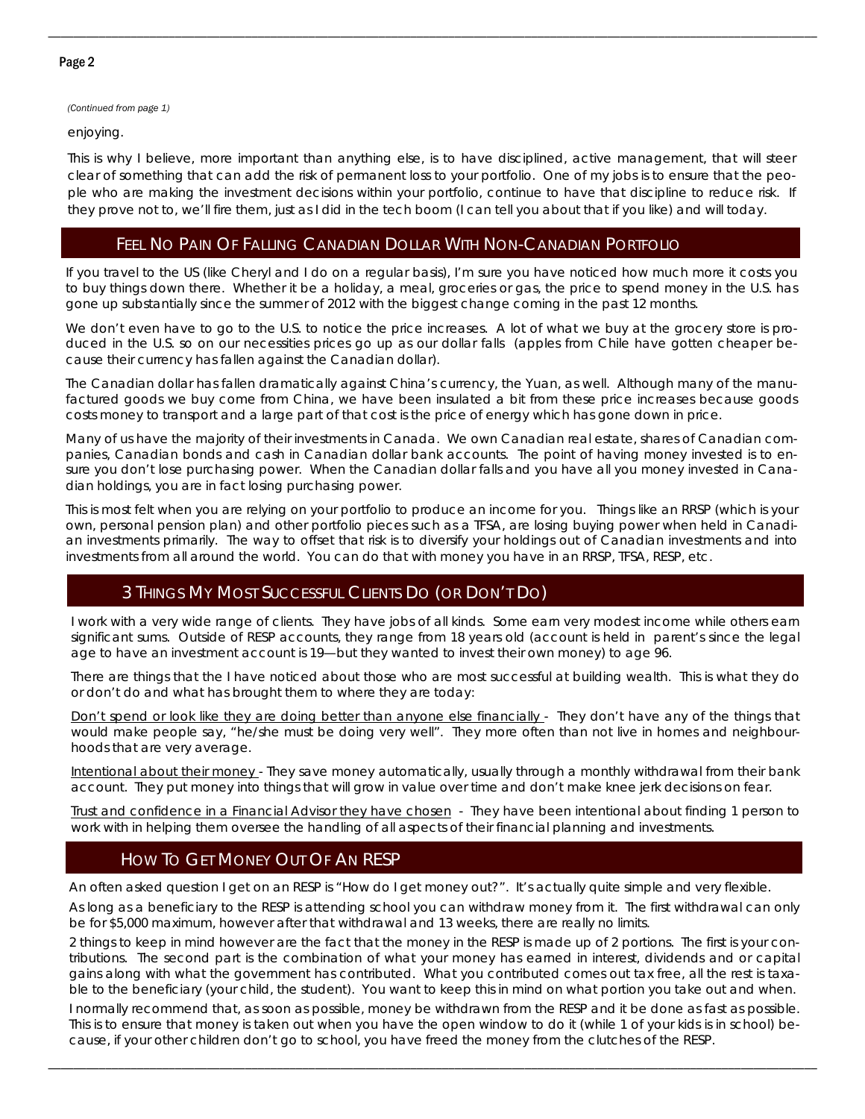*(Continued from page 1)* 

enjoying.

This is why I believe, more important than anything else, is to have disciplined, active management, that will steer clear of something that can add the risk of permanent loss to your portfolio. One of my jobs is to ensure that the people who are making the investment decisions within your portfolio, continue to have that discipline to reduce risk. If they prove not to, we'll fire them, just as I did in the tech boom (I can tell you about that if you like) and will today.

\_\_\_\_\_\_\_\_\_\_\_\_\_\_\_\_\_\_\_\_\_\_\_\_\_\_\_\_\_\_\_\_\_\_\_\_\_\_\_\_\_\_\_\_\_\_\_\_\_\_\_\_\_\_\_\_\_\_\_\_\_\_\_\_\_\_\_\_\_\_\_\_\_\_\_\_\_\_\_\_\_\_\_\_\_\_\_\_\_\_\_\_\_\_\_\_\_\_\_\_\_\_\_\_\_\_\_\_\_\_\_\_\_\_\_\_\_\_\_\_\_

# FEEL NO PAIN OF FALLING CANADIAN DOLLAR WITH NON-CANADIAN PORTFOLIO

If you travel to the US (like Cheryl and I do on a regular basis), I'm sure you have noticed how much more it costs you to buy things down there. Whether it be a holiday, a meal, groceries or gas, the price to spend money in the U.S. has gone up substantially since the summer of 2012 with the biggest change coming in the past 12 months.

We don't even have to go to the U.S. to notice the price increases. A lot of what we buy at the grocery store is produced in the U.S. so on our necessities prices go up as our dollar falls (apples from Chile have gotten cheaper because their currency has fallen against the Canadian dollar).

The Canadian dollar has fallen dramatically against China's currency, the Yuan, as well. Although many of the manufactured goods we buy come from China, we have been insulated a bit from these price increases because goods costs money to transport and a large part of that cost is the price of energy which has gone down in price.

Many of us have the majority of their investments in Canada. We own Canadian real estate, shares of Canadian companies, Canadian bonds and cash in Canadian dollar bank accounts. The point of having money invested is to ensure you don't lose purchasing power. When the Canadian dollar falls and you have all you money invested in Canadian holdings, you are in fact losing purchasing power.

This is most felt when you are relying on your portfolio to produce an income for you. Things like an RRSP (which is your own, personal pension plan) and other portfolio pieces such as a TFSA, are losing buying power when held in Canadian investments primarily. The way to offset that risk is to diversify your holdings out of Canadian investments and into investments from all around the world. You can do that with money you have in an RRSP, TFSA, RESP, etc.

# 3 THINGS MY MOST SUCCESSFUL CLIENTS DO (OR DON'T DO)

I work with a very wide range of clients. They have jobs of all kinds. Some earn very modest income while others earn significant sums. Outside of RESP accounts, they range from 18 years old (account is held in parent's since the legal age to have an investment account is 19—but they wanted to invest their own money) to age 96.

There are things that the I have noticed about those who are most successful at building wealth. This is what they do or don't do and what has brought them to where they are today:

Don't spend or look like they are doing better than anyone else financially - They don't have any of the things that would make people say, "he/she must be doing very well". They more often than not live in homes and neighbourhoods that are very average.

Intentional about their money - They save money automatically, usually through a monthly withdrawal from their bank account. They put money into things that will grow in value over time and don't make knee jerk decisions on fear.

Trust and confidence in a Financial Advisor they have chosen - They have been intentional about finding 1 person to work with in helping them oversee the handling of all aspects of their financial planning and investments.

# HOW TO GET MONEY OUT OF AN RESP

An often asked question I get on an RESP is "How do I get money out?". It's actually quite simple and very flexible.

As long as a beneficiary to the RESP is attending school you can withdraw money from it. The first withdrawal can only be for \$5,000 maximum, however after that withdrawal and 13 weeks, there are really no limits.

2 things to keep in mind however are the fact that the money in the RESP is made up of 2 portions. The first is your contributions. The second part is the combination of what your money has earned in interest, dividends and or capital gains along with what the government has contributed. What you contributed comes out tax free, all the rest is taxable to the beneficiary (your child, the student). You want to keep this in mind on what portion you take out and when.

I normally recommend that, as soon as possible, money be withdrawn from the RESP and it be done as fast as possible. This is to ensure that money is taken out when you have the open window to do it (while 1 of your kids is in school) because, if your other children don't go to school, you have freed the money from the clutches of the RESP.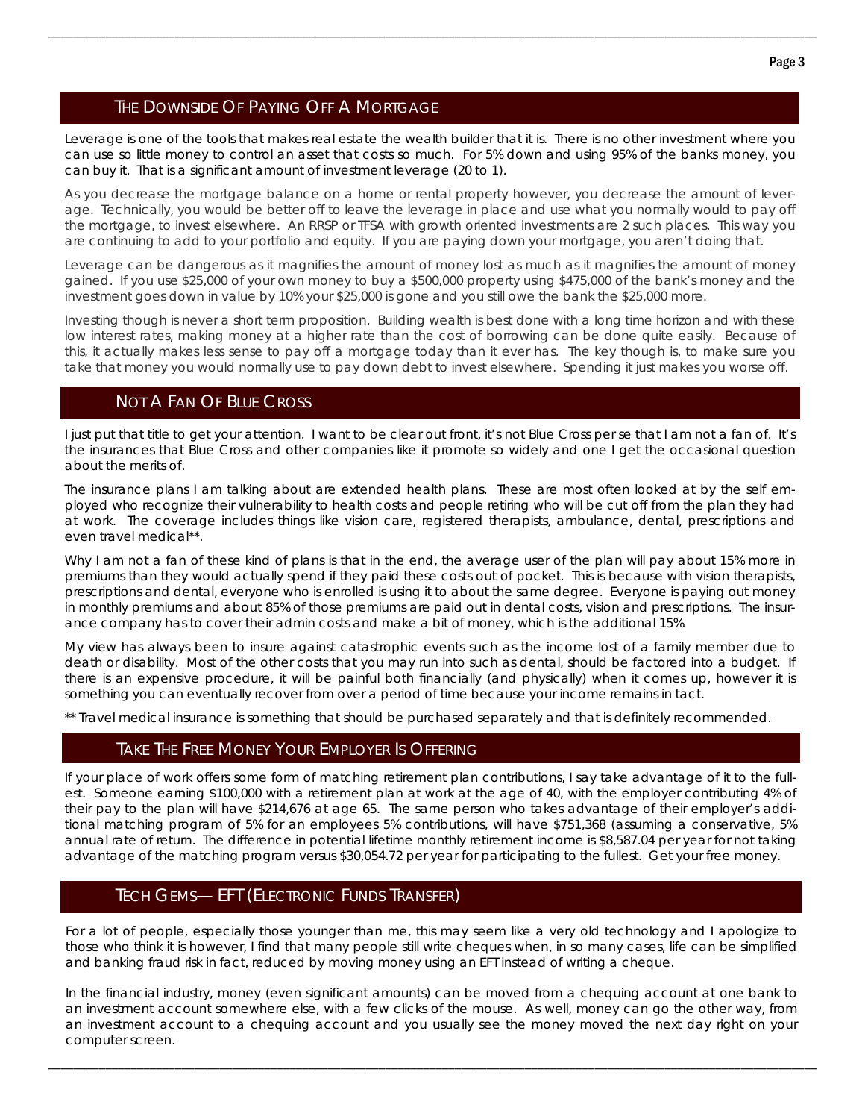# THE DOWNSIDE OF PAYING OFF A MORTGAGE

Leverage is one of the tools that makes real estate the wealth builder that it is. There is no other investment where you can use so little money to control an asset that costs so much. For 5% down and using 95% of the banks money, you can buy it. That is a significant amount of investment leverage (20 to 1).

\_\_\_\_\_\_\_\_\_\_\_\_\_\_\_\_\_\_\_\_\_\_\_\_\_\_\_\_\_\_\_\_\_\_\_\_\_\_\_\_\_\_\_\_\_\_\_\_\_\_\_\_\_\_\_\_\_\_\_\_\_\_\_\_\_\_\_\_\_\_\_\_\_\_\_\_\_\_\_\_\_\_\_\_\_\_\_\_\_\_\_\_\_\_\_\_\_\_\_\_\_\_\_\_\_\_\_\_\_\_\_\_\_\_\_\_\_\_\_\_\_

As you decrease the mortgage balance on a home or rental property however, you decrease the amount of leverage. Technically, you would be better off to leave the leverage in place and use what you normally would to pay off the mortgage, to invest elsewhere. An RRSP or TFSA with growth oriented investments are 2 such places. This way you are continuing to add to your portfolio and equity. If you are paying down your mortgage, you aren't doing that.

Leverage can be dangerous as it magnifies the amount of money lost as much as it magnifies the amount of money gained. If you use \$25,000 of your own money to buy a \$500,000 property using \$475,000 of the bank's money and the investment goes down in value by 10% your \$25,000 is gone and you still owe the bank the \$25,000 more.

Investing though is never a short term proposition. Building wealth is best done with a long time horizon and with these low interest rates, making money at a higher rate than the cost of borrowing can be done quite easily. Because of this, it actually makes less sense to pay off a mortgage today than it ever has. The key though is, to make sure you take that money you would normally use to pay down debt to invest elsewhere. Spending it just makes you worse off.

### NOT A FAN OF BLUE CROSS

I just put that title to get your attention. I want to be clear out front, it's not Blue Cross per se that I am not a fan of. It's the insurances that Blue Cross and other companies like it promote so widely and one I get the occasional question about the merits of.

The insurance plans I am talking about are extended health plans. These are most often looked at by the self employed who recognize their vulnerability to health costs and people retiring who will be cut off from the plan they had at work. The coverage includes things like vision care, registered therapists, ambulance, dental, prescriptions and even travel medical\*\*.

Why I am not a fan of these kind of plans is that in the end, the average user of the plan will pay about 15% more in premiums than they would actually spend if they paid these costs out of pocket. This is because with vision therapists, prescriptions and dental, everyone who is enrolled is using it to about the same degree. Everyone is paying out money in monthly premiums and about 85% of those premiums are paid out in dental costs, vision and prescriptions. The insurance company has to cover their admin costs and make a bit of money, which is the additional 15%.

My view has always been to insure against catastrophic events such as the income lost of a family member due to death or disability. Most of the other costs that you may run into such as dental, should be factored into a budget. If there is an expensive procedure, it will be painful both financially (and physically) when it comes up, however it is something you can eventually recover from over a period of time because your income remains in tact.

\*\* Travel medical insurance is something that should be purchased separately and that is definitely recommended.

### TAKE THE FREE MONEY YOUR EMPLOYER IS OFFERING

If your place of work offers some form of matching retirement plan contributions, I say take advantage of it to the fullest. Someone earning \$100,000 with a retirement plan at work at the age of 40, with the employer contributing 4% of their pay to the plan will have \$214,676 at age 65. The same person who takes advantage of their employer's additional matching program of 5% for an employees 5% contributions, will have \$751,368 (assuming a conservative, 5% annual rate of return. The difference in potential lifetime monthly retirement income is \$8,587.04 per year for not taking advantage of the matching program versus \$30,054.72 per year for participating to the fullest. Get your free money.

# **TECH GEMS— EFT (ELECTRONIC FUNDS TRANSFER)**

For a lot of people, especially those younger than me, this may seem like a very old technology and I apologize to those who think it is however, I find that many people still write cheques when, in so many cases, life can be simplified and banking fraud risk in fact, reduced by moving money using an EFT instead of writing a cheque.

In the financial industry, money (even significant amounts) can be moved from a chequing account at one bank to an investment account somewhere else, with a few clicks of the mouse. As well, money can go the other way, from an investment account to a chequing account and you usually see the money moved the next day right on your computer screen.